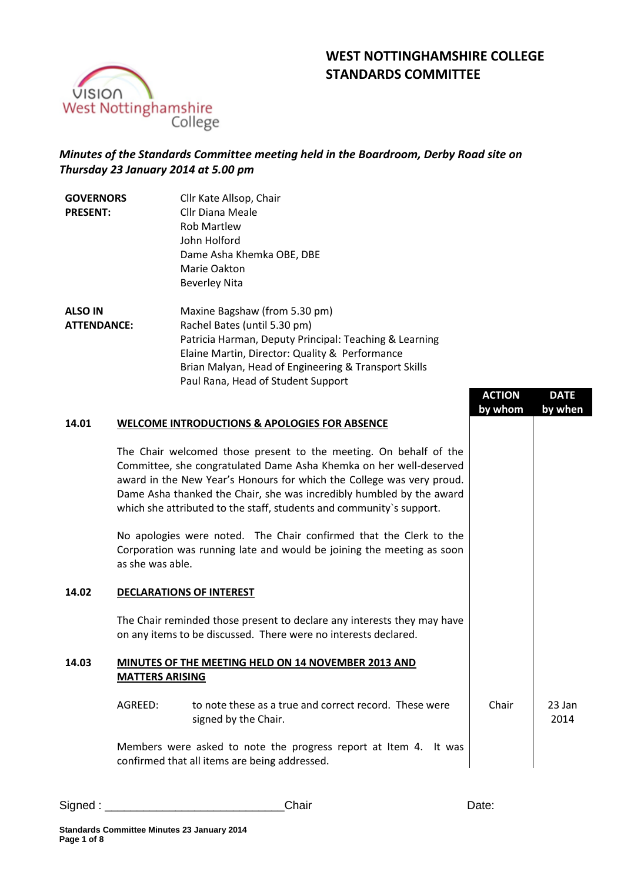# **WEST NOTTINGHAMSHIRE COLLEGE STANDARDS COMMITTEE**



## *Minutes of the Standards Committee meeting held in the Boardroom, Derby Road site on Thursday 23 January 2014 at 5.00 pm*

| <b>GOVERNORS</b>   | Cllr Kate Allsop, Chair                                |
|--------------------|--------------------------------------------------------|
| <b>PRESENT:</b>    | Cllr Diana Meale                                       |
|                    | <b>Rob Martlew</b>                                     |
|                    | John Holford                                           |
|                    | Dame Asha Khemka OBE, DBE                              |
|                    | Marie Oakton                                           |
|                    | <b>Beverley Nita</b>                                   |
| <b>ALSO IN</b>     | Maxine Bagshaw (from 5.30 pm)                          |
| <b>ATTENDANCE:</b> | Rachel Bates (until 5.30 pm)                           |
|                    | Patricia Harman, Deputy Principal: Teaching & Learning |
|                    | Elaine Martin, Director: Quality & Performance         |
|                    | Brian Malyan, Head of Engineering & Transport Skills   |
|                    | Paul Rana, Head of Student Support                     |

|       |                        |                                                                                                                                                                                                                                                                                                                                                                  | <b>ACTION</b><br>by whom | <b>DATE</b><br>by when |
|-------|------------------------|------------------------------------------------------------------------------------------------------------------------------------------------------------------------------------------------------------------------------------------------------------------------------------------------------------------------------------------------------------------|--------------------------|------------------------|
| 14.01 |                        | <b>WELCOME INTRODUCTIONS &amp; APOLOGIES FOR ABSENCE</b>                                                                                                                                                                                                                                                                                                         |                          |                        |
|       |                        | The Chair welcomed those present to the meeting. On behalf of the<br>Committee, she congratulated Dame Asha Khemka on her well-deserved<br>award in the New Year's Honours for which the College was very proud.<br>Dame Asha thanked the Chair, she was incredibly humbled by the award<br>which she attributed to the staff, students and community's support. |                          |                        |
|       | as she was able.       | No apologies were noted. The Chair confirmed that the Clerk to the<br>Corporation was running late and would be joining the meeting as soon                                                                                                                                                                                                                      |                          |                        |
| 14.02 |                        | <b>DECLARATIONS OF INTEREST</b>                                                                                                                                                                                                                                                                                                                                  |                          |                        |
|       |                        | The Chair reminded those present to declare any interests they may have<br>on any items to be discussed. There were no interests declared.                                                                                                                                                                                                                       |                          |                        |
| 14.03 | <b>MATTERS ARISING</b> | MINUTES OF THE MEETING HELD ON 14 NOVEMBER 2013 AND                                                                                                                                                                                                                                                                                                              |                          |                        |
|       | AGREED:                | to note these as a true and correct record. These were<br>signed by the Chair.                                                                                                                                                                                                                                                                                   | Chair                    | 23 Jan<br>2014         |
|       |                        | Members were asked to note the progress report at Item 4. It was<br>confirmed that all items are being addressed.                                                                                                                                                                                                                                                |                          |                        |

| Signed | ∠hair | Vate. |
|--------|-------|-------|
|        |       |       |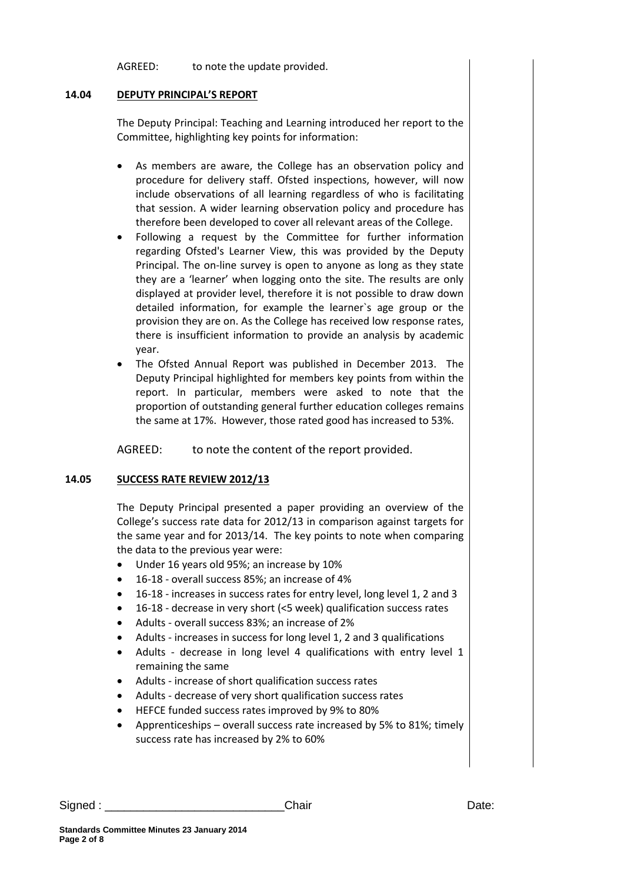AGREED: to note the update provided.

#### **14.04 DEPUTY PRINCIPAL'S REPORT**

The Deputy Principal: Teaching and Learning introduced her report to the Committee, highlighting key points for information:

- As members are aware, the College has an observation policy and procedure for delivery staff. Ofsted inspections, however, will now include observations of all learning regardless of who is facilitating that session. A wider learning observation policy and procedure has therefore been developed to cover all relevant areas of the College.
- Following a request by the Committee for further information regarding Ofsted's Learner View, this was provided by the Deputy Principal. The on-line survey is open to anyone as long as they state they are a 'learner' when logging onto the site. The results are only displayed at provider level, therefore it is not possible to draw down detailed information, for example the learner`s age group or the provision they are on. As the College has received low response rates, there is insufficient information to provide an analysis by academic year.
- The Ofsted Annual Report was published in December 2013. The Deputy Principal highlighted for members key points from within the report. In particular, members were asked to note that the proportion of outstanding general further education colleges remains the same at 17%. However, those rated good has increased to 53%.

AGREED: to note the content of the report provided.

#### **14.05 SUCCESS RATE REVIEW 2012/13**

The Deputy Principal presented a paper providing an overview of the College's success rate data for 2012/13 in comparison against targets for the same year and for 2013/14. The key points to note when comparing the data to the previous year were:

- Under 16 years old 95%; an increase by 10%
- 16-18 overall success 85%; an increase of 4%
- 16-18 increases in success rates for entry level, long level 1, 2 and 3
- 16-18 decrease in very short (<5 week) qualification success rates
- Adults overall success 83%; an increase of 2%
- Adults increases in success for long level 1, 2 and 3 qualifications
- Adults decrease in long level 4 qualifications with entry level 1 remaining the same
- Adults increase of short qualification success rates
- Adults decrease of very short qualification success rates
- HEFCE funded success rates improved by 9% to 80%
- Apprenticeships overall success rate increased by 5% to 81%; timely success rate has increased by 2% to 60%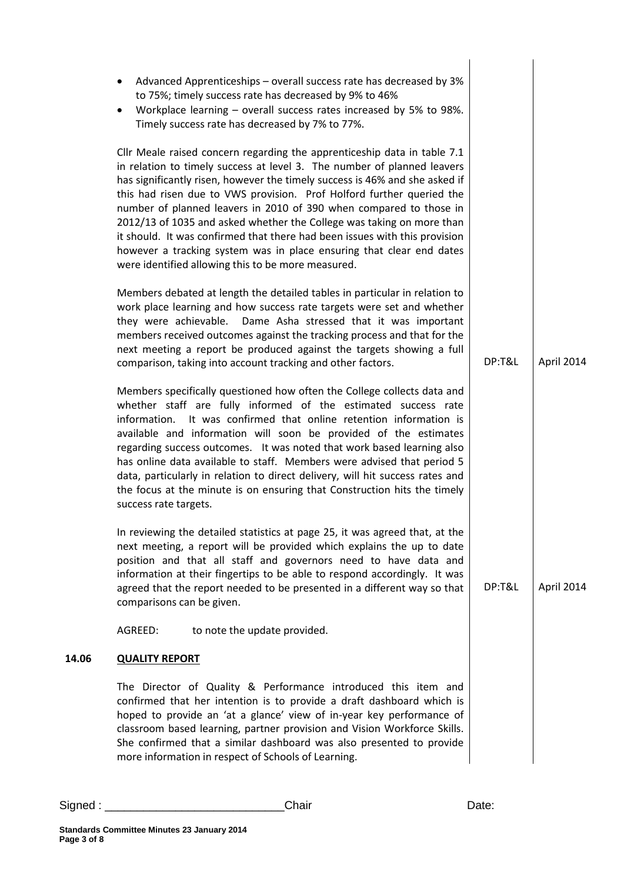|       | Advanced Apprenticeships - overall success rate has decreased by 3%<br>to 75%; timely success rate has decreased by 9% to 46%<br>Workplace learning - overall success rates increased by 5% to 98%.<br>٠<br>Timely success rate has decreased by 7% to 77%.                                                                                                                                                                                                                                                                                                                                                                                                            |        |            |
|-------|------------------------------------------------------------------------------------------------------------------------------------------------------------------------------------------------------------------------------------------------------------------------------------------------------------------------------------------------------------------------------------------------------------------------------------------------------------------------------------------------------------------------------------------------------------------------------------------------------------------------------------------------------------------------|--------|------------|
|       | Cllr Meale raised concern regarding the apprenticeship data in table 7.1<br>in relation to timely success at level 3. The number of planned leavers<br>has significantly risen, however the timely success is 46% and she asked if<br>this had risen due to VWS provision. Prof Holford further queried the<br>number of planned leavers in 2010 of 390 when compared to those in<br>2012/13 of 1035 and asked whether the College was taking on more than<br>it should. It was confirmed that there had been issues with this provision<br>however a tracking system was in place ensuring that clear end dates<br>were identified allowing this to be more measured. |        |            |
|       | Members debated at length the detailed tables in particular in relation to<br>work place learning and how success rate targets were set and whether<br>they were achievable. Dame Asha stressed that it was important<br>members received outcomes against the tracking process and that for the<br>next meeting a report be produced against the targets showing a full<br>comparison, taking into account tracking and other factors.                                                                                                                                                                                                                                | DP:T&L | April 2014 |
|       | Members specifically questioned how often the College collects data and<br>whether staff are fully informed of the estimated success rate<br>It was confirmed that online retention information is<br>information.<br>available and information will soon be provided of the estimates<br>regarding success outcomes. It was noted that work based learning also<br>has online data available to staff. Members were advised that period 5<br>data, particularly in relation to direct delivery, will hit success rates and<br>the focus at the minute is on ensuring that Construction hits the timely<br>success rate targets.                                       |        |            |
|       | In reviewing the detailed statistics at page 25, it was agreed that, at the<br>next meeting, a report will be provided which explains the up to date<br>position and that all staff and governors need to have data and<br>information at their fingertips to be able to respond accordingly. It was<br>agreed that the report needed to be presented in a different way so that<br>comparisons can be given.                                                                                                                                                                                                                                                          | DP:T&L | April 2014 |
|       | AGREED:<br>to note the update provided.                                                                                                                                                                                                                                                                                                                                                                                                                                                                                                                                                                                                                                |        |            |
| 14.06 | <b>QUALITY REPORT</b>                                                                                                                                                                                                                                                                                                                                                                                                                                                                                                                                                                                                                                                  |        |            |
|       | The Director of Quality & Performance introduced this item and<br>confirmed that her intention is to provide a draft dashboard which is<br>hoped to provide an 'at a glance' view of in-year key performance of<br>classroom based learning, partner provision and Vision Workforce Skills.<br>She confirmed that a similar dashboard was also presented to provide<br>more information in respect of Schools of Learning.                                                                                                                                                                                                                                             |        |            |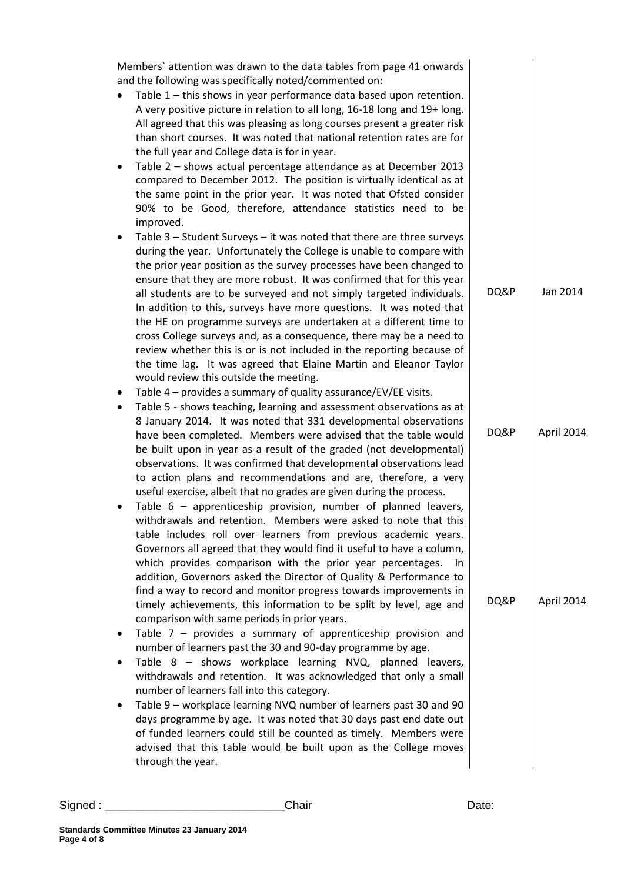|                | Members' attention was drawn to the data tables from page 41 onwards                                                                                                                                                                                                                                                                                                                                                                                                                             |      |            |
|----------------|--------------------------------------------------------------------------------------------------------------------------------------------------------------------------------------------------------------------------------------------------------------------------------------------------------------------------------------------------------------------------------------------------------------------------------------------------------------------------------------------------|------|------------|
| $\bullet$      | and the following was specifically noted/commented on:<br>Table 1 - this shows in year performance data based upon retention.<br>A very positive picture in relation to all long, 16-18 long and 19+ long.<br>All agreed that this was pleasing as long courses present a greater risk<br>than short courses. It was noted that national retention rates are for<br>the full year and College data is for in year.                                                                               |      |            |
| $\bullet$      | Table 2 - shows actual percentage attendance as at December 2013<br>compared to December 2012. The position is virtually identical as at<br>the same point in the prior year. It was noted that Ofsted consider<br>90% to be Good, therefore, attendance statistics need to be<br>improved.                                                                                                                                                                                                      |      |            |
| ٠              | Table $3$ – Student Surveys – it was noted that there are three surveys<br>during the year. Unfortunately the College is unable to compare with<br>the prior year position as the survey processes have been changed to<br>ensure that they are more robust. It was confirmed that for this year                                                                                                                                                                                                 |      |            |
|                | all students are to be surveyed and not simply targeted individuals.<br>In addition to this, surveys have more questions. It was noted that<br>the HE on programme surveys are undertaken at a different time to<br>cross College surveys and, as a consequence, there may be a need to<br>review whether this is or is not included in the reporting because of                                                                                                                                 | DQ&P | Jan 2014   |
| ٠              | the time lag. It was agreed that Elaine Martin and Eleanor Taylor<br>would review this outside the meeting.<br>Table 4 – provides a summary of quality assurance/EV/EE visits.                                                                                                                                                                                                                                                                                                                   |      |            |
| $\bullet$      | Table 5 - shows teaching, learning and assessment observations as at<br>8 January 2014. It was noted that 331 developmental observations<br>have been completed. Members were advised that the table would<br>be built upon in year as a result of the graded (not developmental)<br>observations. It was confirmed that developmental observations lead<br>to action plans and recommendations and are, therefore, a very                                                                       | DQ&P | April 2014 |
|                | useful exercise, albeit that no grades are given during the process.<br>Table 6 - apprenticeship provision, number of planned leavers,<br>withdrawals and retention. Members were asked to note that this<br>table includes roll over learners from previous academic years.<br>Governors all agreed that they would find it useful to have a column,<br>which provides comparison with the prior year percentages.<br>In.<br>addition, Governors asked the Director of Quality & Performance to |      |            |
|                | find a way to record and monitor progress towards improvements in<br>timely achievements, this information to be split by level, age and<br>comparison with same periods in prior years.<br>Table $7$ – provides a summary of apprenticeship provision and                                                                                                                                                                                                                                       | DQ&P | April 2014 |
| ٠<br>$\bullet$ | number of learners past the 30 and 90-day programme by age.<br>Table 8 - shows workplace learning NVQ, planned leavers,<br>withdrawals and retention. It was acknowledged that only a small<br>number of learners fall into this category.                                                                                                                                                                                                                                                       |      |            |
| ٠              | Table 9 - workplace learning NVQ number of learners past 30 and 90<br>days programme by age. It was noted that 30 days past end date out<br>of funded learners could still be counted as timely. Members were<br>advised that this table would be built upon as the College moves<br>through the year.                                                                                                                                                                                           |      |            |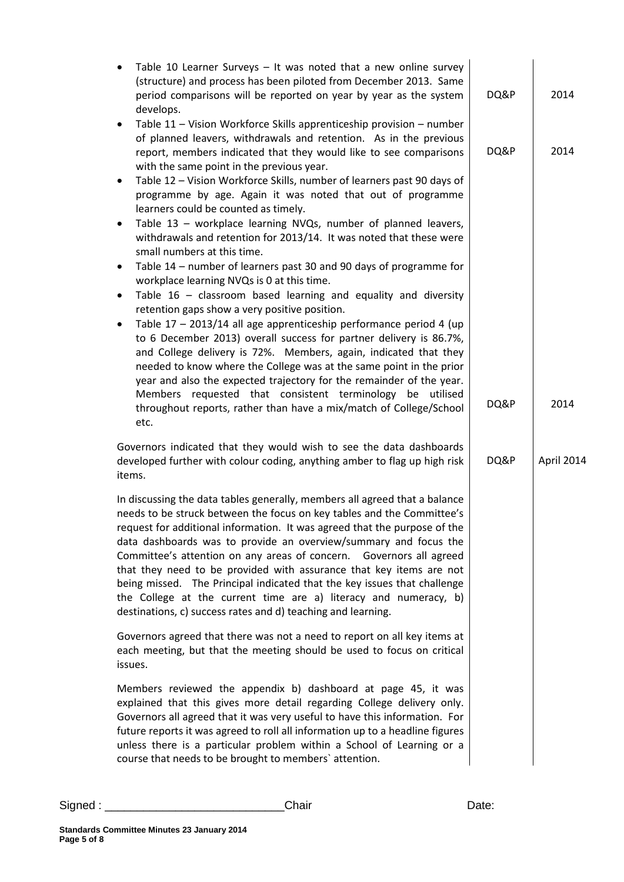| Table 10 Learner Surveys $-$ It was noted that a new online survey<br>$\bullet$<br>(structure) and process has been piloted from December 2013. Same<br>period comparisons will be reported on year by year as the system<br>develops.                                                                                                                                                                                                                                                                                                                                                                                                                               | DQ&P | 2014       |
|----------------------------------------------------------------------------------------------------------------------------------------------------------------------------------------------------------------------------------------------------------------------------------------------------------------------------------------------------------------------------------------------------------------------------------------------------------------------------------------------------------------------------------------------------------------------------------------------------------------------------------------------------------------------|------|------------|
| Table 11 - Vision Workforce Skills apprenticeship provision - number<br>$\bullet$<br>of planned leavers, withdrawals and retention. As in the previous<br>report, members indicated that they would like to see comparisons<br>with the same point in the previous year.                                                                                                                                                                                                                                                                                                                                                                                             | DQ&P | 2014       |
| Table 12 - Vision Workforce Skills, number of learners past 90 days of<br>$\bullet$<br>programme by age. Again it was noted that out of programme<br>learners could be counted as timely.                                                                                                                                                                                                                                                                                                                                                                                                                                                                            |      |            |
| Table 13 - workplace learning NVQs, number of planned leavers,<br>٠<br>withdrawals and retention for 2013/14. It was noted that these were<br>small numbers at this time.                                                                                                                                                                                                                                                                                                                                                                                                                                                                                            |      |            |
| Table 14 – number of learners past 30 and 90 days of programme for<br>٠<br>workplace learning NVQs is 0 at this time.                                                                                                                                                                                                                                                                                                                                                                                                                                                                                                                                                |      |            |
| Table $16$ – classroom based learning and equality and diversity<br>٠<br>retention gaps show a very positive position.                                                                                                                                                                                                                                                                                                                                                                                                                                                                                                                                               |      |            |
| Table 17 - 2013/14 all age apprenticeship performance period 4 (up<br>$\bullet$<br>to 6 December 2013) overall success for partner delivery is 86.7%,<br>and College delivery is 72%. Members, again, indicated that they<br>needed to know where the College was at the same point in the prior<br>year and also the expected trajectory for the remainder of the year.                                                                                                                                                                                                                                                                                             |      |            |
| Members requested that consistent terminology be utilised<br>throughout reports, rather than have a mix/match of College/School<br>etc.                                                                                                                                                                                                                                                                                                                                                                                                                                                                                                                              | DQ&P | 2014       |
| Governors indicated that they would wish to see the data dashboards<br>developed further with colour coding, anything amber to flag up high risk<br>items.                                                                                                                                                                                                                                                                                                                                                                                                                                                                                                           | DQ&P | April 2014 |
| In discussing the data tables generally, members all agreed that a balance<br>needs to be struck between the focus on key tables and the Committee's<br>request for additional information. It was agreed that the purpose of the<br>data dashboards was to provide an overview/summary and focus the<br>Committee's attention on any areas of concern.  Governors all agreed<br>that they need to be provided with assurance that key items are not<br>being missed. The Principal indicated that the key issues that challenge<br>the College at the current time are a) literacy and numeracy, b)<br>destinations, c) success rates and d) teaching and learning. |      |            |
| Governors agreed that there was not a need to report on all key items at<br>each meeting, but that the meeting should be used to focus on critical<br>issues.                                                                                                                                                                                                                                                                                                                                                                                                                                                                                                        |      |            |
| Members reviewed the appendix b) dashboard at page 45, it was<br>explained that this gives more detail regarding College delivery only.<br>Governors all agreed that it was very useful to have this information. For<br>future reports it was agreed to roll all information up to a headline figures<br>unless there is a particular problem within a School of Learning or a<br>course that needs to be brought to members' attention.                                                                                                                                                                                                                            |      |            |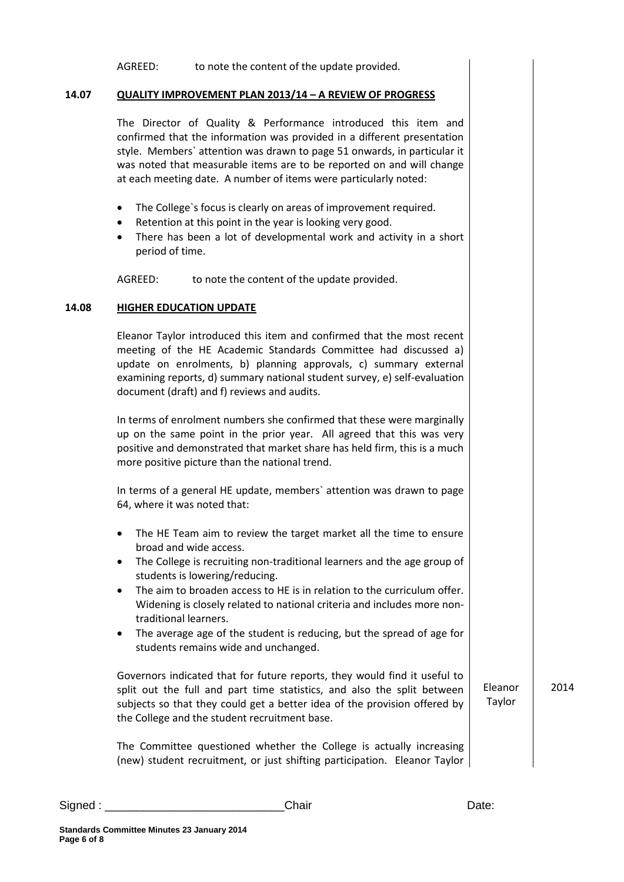| QUALITY IMPROVEMENT PLAN 2013/14 - A REVIEW OF PROGRESS                                                                                                                                                                                                                                                                                                            |                   |      |
|--------------------------------------------------------------------------------------------------------------------------------------------------------------------------------------------------------------------------------------------------------------------------------------------------------------------------------------------------------------------|-------------------|------|
| The Director of Quality & Performance introduced this item and<br>confirmed that the information was provided in a different presentation<br>style. Members' attention was drawn to page 51 onwards, in particular it<br>was noted that measurable items are to be reported on and will change<br>at each meeting date. A number of items were particularly noted: |                   |      |
| The College's focus is clearly on areas of improvement required.<br>Retention at this point in the year is looking very good.<br>$\bullet$<br>There has been a lot of developmental work and activity in a short<br>$\bullet$<br>period of time.                                                                                                                   |                   |      |
| AGREED:<br>to note the content of the update provided.                                                                                                                                                                                                                                                                                                             |                   |      |
| <b>HIGHER EDUCATION UPDATE</b>                                                                                                                                                                                                                                                                                                                                     |                   |      |
| Eleanor Taylor introduced this item and confirmed that the most recent<br>meeting of the HE Academic Standards Committee had discussed a)<br>update on enrolments, b) planning approvals, c) summary external<br>examining reports, d) summary national student survey, e) self-evaluation<br>document (draft) and f) reviews and audits.                          |                   |      |
| In terms of enrolment numbers she confirmed that these were marginally<br>up on the same point in the prior year. All agreed that this was very<br>positive and demonstrated that market share has held firm, this is a much<br>more positive picture than the national trend.                                                                                     |                   |      |
| In terms of a general HE update, members' attention was drawn to page<br>64, where it was noted that:                                                                                                                                                                                                                                                              |                   |      |
| The HE Team aim to review the target market all the time to ensure<br>broad and wide access.<br>The College is recruiting non-traditional learners and the age group of<br>students is lowering/reducing.<br>The aim to broaden access to HE is in relation to the curriculum offer.<br>$\bullet$                                                                  |                   |      |
| Widening is closely related to national criteria and includes more non-<br>traditional learners.<br>The average age of the student is reducing, but the spread of age for<br>٠<br>students remains wide and unchanged.                                                                                                                                             |                   |      |
| Governors indicated that for future reports, they would find it useful to<br>split out the full and part time statistics, and also the split between<br>subjects so that they could get a better idea of the provision offered by<br>the College and the student recruitment base.                                                                                 | Eleanor<br>Taylor | 2014 |
| The Committee questioned whether the College is actually increasing<br>(new) student recruitment, or just shifting participation. Eleanor Taylor                                                                                                                                                                                                                   |                   |      |

AGREED: to note the content of the update provided.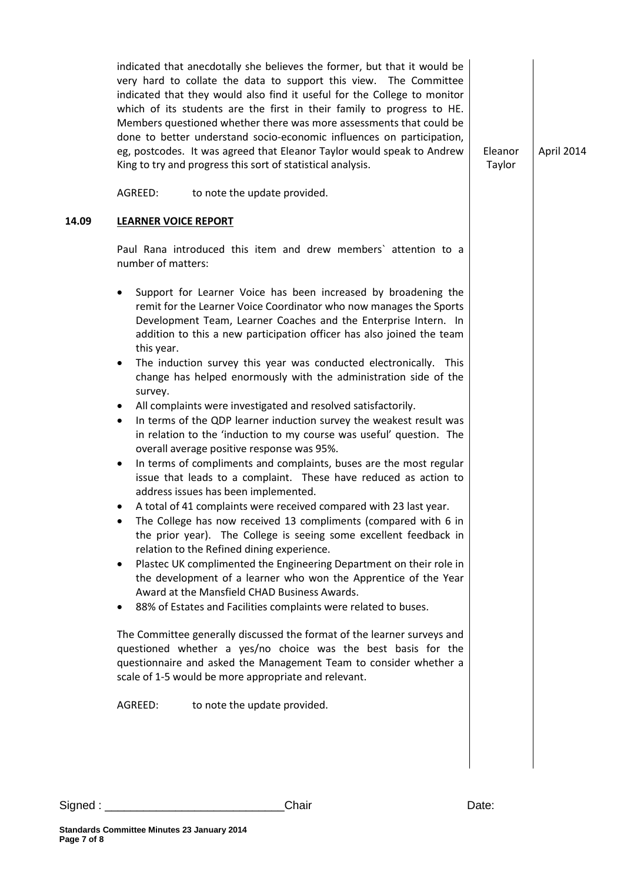|       | indicated that anecdotally she believes the former, but that it would be<br>very hard to collate the data to support this view. The Committee<br>indicated that they would also find it useful for the College to monitor<br>which of its students are the first in their family to progress to HE.<br>Members questioned whether there was more assessments that could be<br>done to better understand socio-economic influences on participation,<br>eg, postcodes. It was agreed that Eleanor Taylor would speak to Andrew<br>King to try and progress this sort of statistical analysis.                                                                                                                                                                                                                                                                                                                                                                                                                                                                                                                                                                                                                                                                                                                                                                                                                                                                                                                                                                                                                                                                                                                                                                                                                                  | Eleanor<br>Taylor | April 2014 |
|-------|-------------------------------------------------------------------------------------------------------------------------------------------------------------------------------------------------------------------------------------------------------------------------------------------------------------------------------------------------------------------------------------------------------------------------------------------------------------------------------------------------------------------------------------------------------------------------------------------------------------------------------------------------------------------------------------------------------------------------------------------------------------------------------------------------------------------------------------------------------------------------------------------------------------------------------------------------------------------------------------------------------------------------------------------------------------------------------------------------------------------------------------------------------------------------------------------------------------------------------------------------------------------------------------------------------------------------------------------------------------------------------------------------------------------------------------------------------------------------------------------------------------------------------------------------------------------------------------------------------------------------------------------------------------------------------------------------------------------------------------------------------------------------------------------------------------------------------|-------------------|------------|
|       | AGREED:<br>to note the update provided.                                                                                                                                                                                                                                                                                                                                                                                                                                                                                                                                                                                                                                                                                                                                                                                                                                                                                                                                                                                                                                                                                                                                                                                                                                                                                                                                                                                                                                                                                                                                                                                                                                                                                                                                                                                       |                   |            |
| 14.09 | <b>LEARNER VOICE REPORT</b>                                                                                                                                                                                                                                                                                                                                                                                                                                                                                                                                                                                                                                                                                                                                                                                                                                                                                                                                                                                                                                                                                                                                                                                                                                                                                                                                                                                                                                                                                                                                                                                                                                                                                                                                                                                                   |                   |            |
|       | Paul Rana introduced this item and drew members' attention to a<br>number of matters:                                                                                                                                                                                                                                                                                                                                                                                                                                                                                                                                                                                                                                                                                                                                                                                                                                                                                                                                                                                                                                                                                                                                                                                                                                                                                                                                                                                                                                                                                                                                                                                                                                                                                                                                         |                   |            |
|       | Support for Learner Voice has been increased by broadening the<br>$\bullet$<br>remit for the Learner Voice Coordinator who now manages the Sports<br>Development Team, Learner Coaches and the Enterprise Intern. In<br>addition to this a new participation officer has also joined the team<br>this year.<br>The induction survey this year was conducted electronically. This<br>$\bullet$<br>change has helped enormously with the administration side of the<br>survey.<br>All complaints were investigated and resolved satisfactorily.<br>$\bullet$<br>In terms of the QDP learner induction survey the weakest result was<br>$\bullet$<br>in relation to the 'induction to my course was useful' question. The<br>overall average positive response was 95%.<br>In terms of compliments and complaints, buses are the most regular<br>$\bullet$<br>issue that leads to a complaint. These have reduced as action to<br>address issues has been implemented.<br>A total of 41 complaints were received compared with 23 last year.<br>The College has now received 13 compliments (compared with 6 in<br>the prior year). The College is seeing some excellent feedback in<br>relation to the Refined dining experience.<br>Plastec UK complimented the Engineering Department on their role in<br>$\bullet$<br>the development of a learner who won the Apprentice of the Year<br>Award at the Mansfield CHAD Business Awards.<br>88% of Estates and Facilities complaints were related to buses.<br>The Committee generally discussed the format of the learner surveys and<br>questioned whether a yes/no choice was the best basis for the<br>questionnaire and asked the Management Team to consider whether a<br>scale of 1-5 would be more appropriate and relevant.<br>AGREED:<br>to note the update provided. |                   |            |